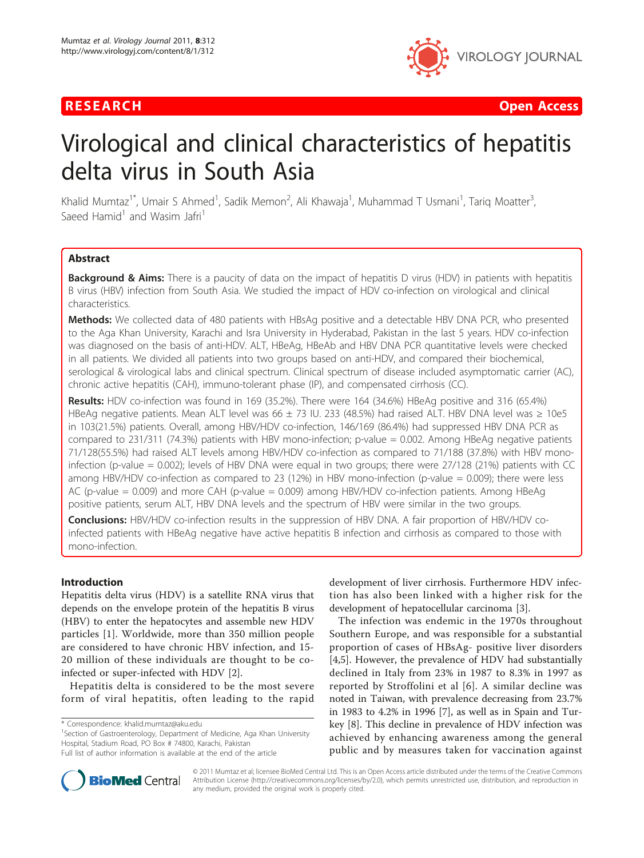

**RESEARCH Open Access Contract Contract Contract Contract Contract Contract Contract Contract Contract Contract Contract Contract Contract Contract Contract Contract Contract Contract Contract Contract Contract Contract** 

# Virological and clinical characteristics of hepatitis delta virus in South Asia

Khalid Mumtaz<sup>1\*</sup>, Umair S Ahmed<sup>1</sup>, Sadik Memon<sup>2</sup>, Ali Khawaja<sup>1</sup>, Muhammad T Usmani<sup>1</sup>, Tariq Moatter<sup>3</sup> , Saeed Hamid<sup>1</sup> and Wasim Jafri<sup>1</sup>

# Abstract

Background & Aims: There is a paucity of data on the impact of hepatitis D virus (HDV) in patients with hepatitis B virus (HBV) infection from South Asia. We studied the impact of HDV co-infection on virological and clinical characteristics.

**Methods:** We collected data of 480 patients with HBsAg positive and a detectable HBV DNA PCR, who presented to the Aga Khan University, Karachi and Isra University in Hyderabad, Pakistan in the last 5 years. HDV co-infection was diagnosed on the basis of anti-HDV. ALT, HBeAg, HBeAb and HBV DNA PCR quantitative levels were checked in all patients. We divided all patients into two groups based on anti-HDV, and compared their biochemical, serological & virological labs and clinical spectrum. Clinical spectrum of disease included asymptomatic carrier (AC), chronic active hepatitis (CAH), immuno-tolerant phase (IP), and compensated cirrhosis (CC).

Results: HDV co-infection was found in 169 (35.2%). There were 164 (34.6%) HBeAg positive and 316 (65.4%) HBeAg negative patients. Mean ALT level was 66 ± 73 IU. 233 (48.5%) had raised ALT. HBV DNA level was ≥ 10e5 in 103(21.5%) patients. Overall, among HBV/HDV co-infection, 146/169 (86.4%) had suppressed HBV DNA PCR as compared to 231/311 (74.3%) patients with HBV mono-infection; p-value = 0.002. Among HBeAg negative patients 71/128(55.5%) had raised ALT levels among HBV/HDV co-infection as compared to 71/188 (37.8%) with HBV monoinfection (p-value = 0.002); levels of HBV DNA were equal in two groups; there were 27/128 (21%) patients with CC among HBV/HDV co-infection as compared to 23 (12%) in HBV mono-infection (p-value = 0.009); there were less AC (p-value = 0.009) and more CAH (p-value = 0.009) among HBV/HDV co-infection patients. Among HBeAg positive patients, serum ALT, HBV DNA levels and the spectrum of HBV were similar in the two groups.

**Conclusions:** HBV/HDV co-infection results in the suppression of HBV DNA. A fair proportion of HBV/HDV coinfected patients with HBeAg negative have active hepatitis B infection and cirrhosis as compared to those with mono-infection.

# Introduction

Hepatitis delta virus (HDV) is a satellite RNA virus that depends on the envelope protein of the hepatitis B virus (HBV) to enter the hepatocytes and assemble new HDV particles [\[1](#page-6-0)]. Worldwide, more than 350 million people are considered to have chronic HBV infection, and 15- 20 million of these individuals are thought to be coinfected or super-infected with HDV [\[2](#page-7-0)].

Hepatitis delta is considered to be the most severe form of viral hepatitis, often leading to the rapid

<sup>1</sup>Section of Gastroenterology, Department of Medicine, Aga Khan University Hospital, Stadium Road, PO Box # 74800, Karachi, Pakistan

development of liver cirrhosis. Furthermore HDV infection has also been linked with a higher risk for the development of hepatocellular carcinoma [[3](#page-7-0)].

The infection was endemic in the 1970s throughout Southern Europe, and was responsible for a substantial proportion of cases of HBsAg- positive liver disorders [[4,5\]](#page-7-0). However, the prevalence of HDV had substantially declined in Italy from 23% in 1987 to 8.3% in 1997 as reported by Stroffolini et al [[6](#page-7-0)]. A similar decline was noted in Taiwan, with prevalence decreasing from 23.7% in 1983 to 4.2% in 1996 [\[7\]](#page-7-0), as well as in Spain and Turkey [[8\]](#page-7-0). This decline in prevalence of HDV infection was achieved by enhancing awareness among the general public and by measures taken for vaccination against



© 2011 Mumtaz et al; licensee BioMed Central Ltd. This is an Open Access article distributed under the terms of the Creative Commons Attribution License [\(http://creativecommons.org/licenses/by/2.0](http://creativecommons.org/licenses/by/2.0)), which permits unrestricted use, distribution, and reproduction in any medium, provided the original work is properly cited.

<sup>\*</sup> Correspondence: [khalid.mumtaz@aku.edu](mailto:khalid.mumtaz@aku.edu)

Full list of author information is available at the end of the article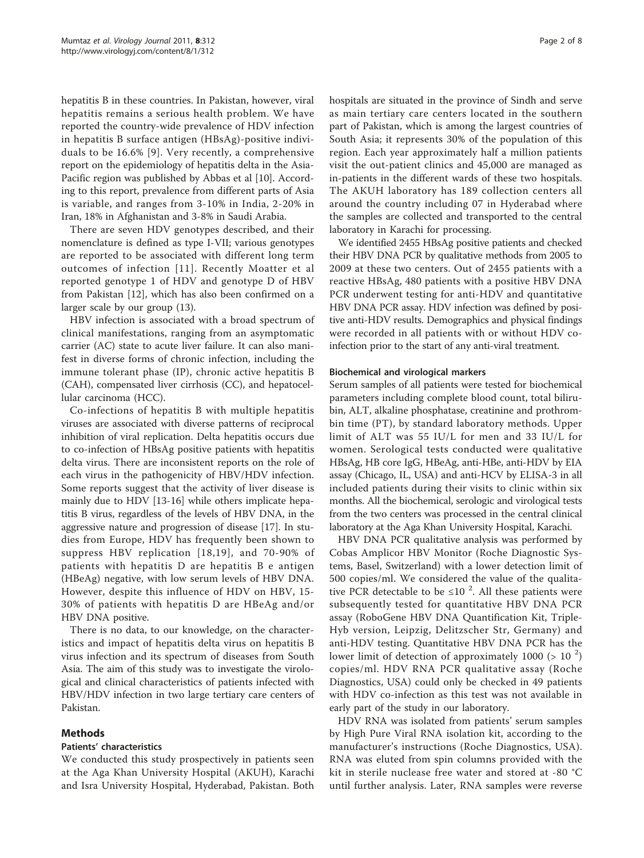hepatitis B in these countries. In Pakistan, however, viral hepatitis remains a serious health problem. We have reported the country-wide prevalence of HDV infection in hepatitis B surface antigen (HBsAg)-positive individuals to be 16.6% [[9\]](#page-7-0). Very recently, a comprehensive report on the epidemiology of hepatitis delta in the Asia-Pacific region was published by Abbas et al [\[10\]](#page-7-0). According to this report, prevalence from different parts of Asia is variable, and ranges from 3-10% in India, 2-20% in Iran, 18% in Afghanistan and 3-8% in Saudi Arabia.

There are seven HDV genotypes described, and their nomenclature is defined as type I-VII; various genotypes are reported to be associated with different long term outcomes of infection [[11](#page-7-0)]. Recently Moatter et al reported genotype 1 of HDV and genotype D of HBV from Pakistan [[12\]](#page-7-0), which has also been confirmed on a larger scale by our group (13).

HBV infection is associated with a broad spectrum of clinical manifestations, ranging from an asymptomatic carrier (AC) state to acute liver failure. It can also manifest in diverse forms of chronic infection, including the immune tolerant phase (IP), chronic active hepatitis B (CAH), compensated liver cirrhosis (CC), and hepatocellular carcinoma (HCC).

Co-infections of hepatitis B with multiple hepatitis viruses are associated with diverse patterns of reciprocal inhibition of viral replication. Delta hepatitis occurs due to co-infection of HBsAg positive patients with hepatitis delta virus. There are inconsistent reports on the role of each virus in the pathogenicity of HBV/HDV infection. Some reports suggest that the activity of liver disease is mainly due to HDV [[13](#page-7-0)-[16\]](#page-7-0) while others implicate hepatitis B virus, regardless of the levels of HBV DNA, in the aggressive nature and progression of disease [[17](#page-7-0)]. In studies from Europe, HDV has frequently been shown to suppress HBV replication [[18,19](#page-7-0)], and 70-90% of patients with hepatitis D are hepatitis B e antigen (HBeAg) negative, with low serum levels of HBV DNA. However, despite this influence of HDV on HBV, 15- 30% of patients with hepatitis D are HBeAg and/or HBV DNA positive.

There is no data, to our knowledge, on the characteristics and impact of hepatitis delta virus on hepatitis B virus infection and its spectrum of diseases from South Asia. The aim of this study was to investigate the virological and clinical characteristics of patients infected with HBV/HDV infection in two large tertiary care centers of Pakistan.

# Methods

# Patients' characteristics

We conducted this study prospectively in patients seen at the Aga Khan University Hospital (AKUH), Karachi and Isra University Hospital, Hyderabad, Pakistan. Both hospitals are situated in the province of Sindh and serve as main tertiary care centers located in the southern part of Pakistan, which is among the largest countries of South Asia; it represents 30% of the population of this region. Each year approximately half a million patients visit the out-patient clinics and 45,000 are managed as in-patients in the different wards of these two hospitals. The AKUH laboratory has 189 collection centers all around the country including 07 in Hyderabad where the samples are collected and transported to the central laboratory in Karachi for processing.

We identified 2455 HBsAg positive patients and checked their HBV DNA PCR by qualitative methods from 2005 to 2009 at these two centers. Out of 2455 patients with a reactive HBsAg, 480 patients with a positive HBV DNA PCR underwent testing for anti-HDV and quantitative HBV DNA PCR assay. HDV infection was defined by positive anti-HDV results. Demographics and physical findings were recorded in all patients with or without HDV coinfection prior to the start of any anti-viral treatment.

# Biochemical and virological markers

Serum samples of all patients were tested for biochemical parameters including complete blood count, total bilirubin, ALT, alkaline phosphatase, creatinine and prothrombin time (PT), by standard laboratory methods. Upper limit of ALT was 55 IU/L for men and 33 IU/L for women. Serological tests conducted were qualitative HBsAg, HB core IgG, HBeAg, anti-HBe, anti-HDV by EIA assay (Chicago, IL, USA) and anti-HCV by ELISA-3 in all included patients during their visits to clinic within six months. All the biochemical, serologic and virological tests from the two centers was processed in the central clinical laboratory at the Aga Khan University Hospital, Karachi.

HBV DNA PCR qualitative analysis was performed by Cobas Amplicor HBV Monitor (Roche Diagnostic Systems, Basel, Switzerland) with a lower detection limit of 500 copies/ml. We considered the value of the qualitative PCR detectable to be  $\leq 10^{-2}$ . All these patients were subsequently tested for quantitative HBV DNA PCR assay (RoboGene HBV DNA Quantification Kit, Triple-Hyb version, Leipzig, Delitzscher Str, Germany) and anti-HDV testing. Quantitative HBV DNA PCR has the lower limit of detection of approximately 1000 ( $> 10^{-2}$ ) copies/ml. HDV RNA PCR qualitative assay (Roche Diagnostics, USA) could only be checked in 49 patients with HDV co-infection as this test was not available in early part of the study in our laboratory.

HDV RNA was isolated from patients' serum samples by High Pure Viral RNA isolation kit, according to the manufacturer's instructions (Roche Diagnostics, USA). RNA was eluted from spin columns provided with the kit in sterile nuclease free water and stored at -80 °C until further analysis. Later, RNA samples were reverse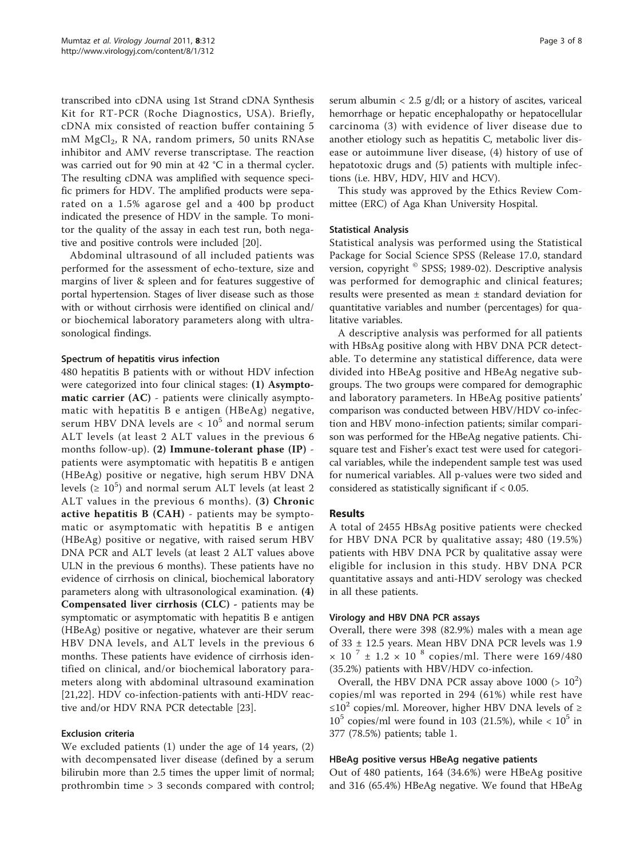transcribed into cDNA using 1st Strand cDNA Synthesis Kit for RT-PCR (Roche Diagnostics, USA). Briefly, cDNA mix consisted of reaction buffer containing 5  $mM MgCl<sub>2</sub>$ , R NA, random primers, 50 units RNAse inhibitor and AMV reverse transcriptase. The reaction was carried out for 90 min at 42 °C in a thermal cycler. The resulting cDNA was amplified with sequence specific primers for HDV. The amplified products were separated on a 1.5% agarose gel and a 400 bp product indicated the presence of HDV in the sample. To monitor the quality of the assay in each test run, both negative and positive controls were included [\[20\]](#page-7-0).

Abdominal ultrasound of all included patients was performed for the assessment of echo-texture, size and margins of liver & spleen and for features suggestive of portal hypertension. Stages of liver disease such as those with or without cirrhosis were identified on clinical and/ or biochemical laboratory parameters along with ultrasonological findings.

# Spectrum of hepatitis virus infection

480 hepatitis B patients with or without HDV infection were categorized into four clinical stages: (1) Asymptomatic carrier (AC) - patients were clinically asymptomatic with hepatitis B e antigen (HBeAg) negative, serum HBV DNA levels are  $< 10<sup>5</sup>$  and normal serum ALT levels (at least 2 ALT values in the previous 6 months follow-up). (2) Immune-tolerant phase (IP) patients were asymptomatic with hepatitis B e antigen (HBeAg) positive or negative, high serum HBV DNA levels ( $\geq 10^5$ ) and normal serum ALT levels (at least 2 ALT values in the previous 6 months). (3) Chronic active hepatitis B (CAH) - patients may be symptomatic or asymptomatic with hepatitis B e antigen (HBeAg) positive or negative, with raised serum HBV DNA PCR and ALT levels (at least 2 ALT values above ULN in the previous 6 months). These patients have no evidence of cirrhosis on clinical, biochemical laboratory parameters along with ultrasonological examination. (4) Compensated liver cirrhosis (CLC) - patients may be symptomatic or asymptomatic with hepatitis B e antigen (HBeAg) positive or negative, whatever are their serum HBV DNA levels, and ALT levels in the previous 6 months. These patients have evidence of cirrhosis identified on clinical, and/or biochemical laboratory parameters along with abdominal ultrasound examination [[21,22\]](#page-7-0). HDV co-infection-patients with anti-HDV reactive and/or HDV RNA PCR detectable [[23\]](#page-7-0).

# Exclusion criteria

We excluded patients (1) under the age of 14 years, (2) with decompensated liver disease (defined by a serum bilirubin more than 2.5 times the upper limit of normal; prothrombin time > 3 seconds compared with control;

serum albumin  $< 2.5$  g/dl; or a history of ascites, variceal hemorrhage or hepatic encephalopathy or hepatocellular carcinoma (3) with evidence of liver disease due to another etiology such as hepatitis C, metabolic liver disease or autoimmune liver disease, (4) history of use of hepatotoxic drugs and (5) patients with multiple infections (i.e. HBV, HDV, HIV and HCV).

This study was approved by the Ethics Review Committee (ERC) of Aga Khan University Hospital.

# Statistical Analysis

Statistical analysis was performed using the Statistical Package for Social Science SPSS (Release 17.0, standard version, copyright © SPSS; 1989-02). Descriptive analysis was performed for demographic and clinical features; results were presented as mean ± standard deviation for quantitative variables and number (percentages) for qualitative variables.

A descriptive analysis was performed for all patients with HBsAg positive along with HBV DNA PCR detectable. To determine any statistical difference, data were divided into HBeAg positive and HBeAg negative subgroups. The two groups were compared for demographic and laboratory parameters. In HBeAg positive patients' comparison was conducted between HBV/HDV co-infection and HBV mono-infection patients; similar comparison was performed for the HBeAg negative patients. Chisquare test and Fisher's exact test were used for categorical variables, while the independent sample test was used for numerical variables. All p-values were two sided and considered as statistically significant if < 0.05.

# Results

A total of 2455 HBsAg positive patients were checked for HBV DNA PCR by qualitative assay; 480 (19.5%) patients with HBV DNA PCR by qualitative assay were eligible for inclusion in this study. HBV DNA PCR quantitative assays and anti-HDV serology was checked in all these patients.

# Virology and HBV DNA PCR assays

Overall, there were 398 (82.9%) males with a mean age of 33 ± 12.5 years. Mean HBV DNA PCR levels was 1.9  $\times$  10<sup>7</sup>  $\pm$  1.2  $\times$  10<sup>8</sup> copies/ml. There were 169/480 (35.2%) patients with HBV/HDV co-infection.

Overall, the HBV DNA PCR assay above  $1000$  ( $> 10<sup>2</sup>$ ) copies/ml was reported in 294 (61%) while rest have ≤10<sup>2</sup> copies/ml. Moreover, higher HBV DNA levels of ≥  $10^5$  copies/ml were found in 103 (21.5%), while <  $10^5$  in 377 (78.5%) patients; table [1.](#page-3-0)

# HBeAg positive versus HBeAg negative patients

Out of 480 patients, 164 (34.6%) were HBeAg positive and 316 (65.4%) HBeAg negative. We found that HBeAg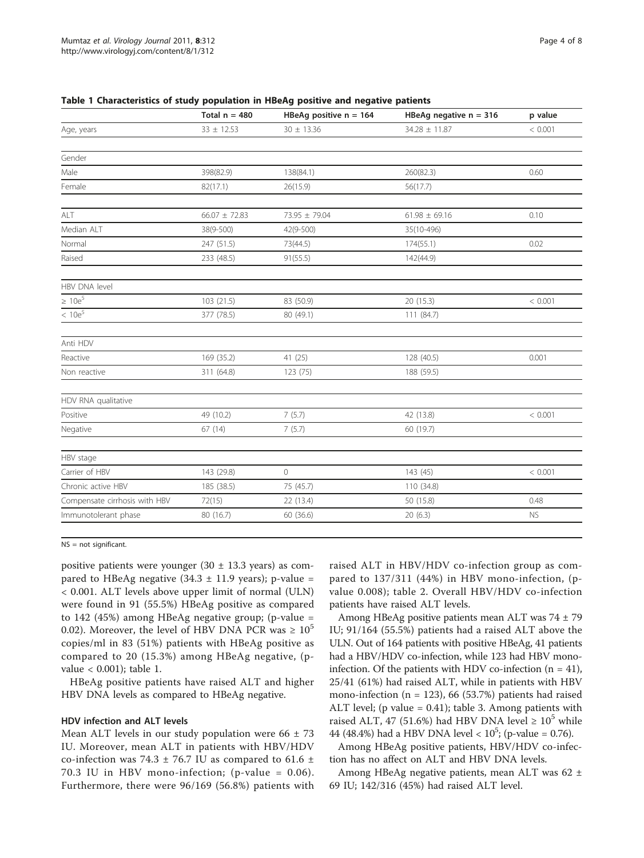|                               | Total $n = 480$   | HBeAg positive $n = 164$ | HBeAg negative $n = 316$ | p value   |
|-------------------------------|-------------------|--------------------------|--------------------------|-----------|
| Age, years                    | $33 \pm 12.53$    | $30 \pm 13.36$           | $34.28 \pm 11.87$        | < 0.001   |
|                               |                   |                          |                          |           |
| Gender                        |                   |                          |                          |           |
| Male                          | 398(82.9)         | 138(84.1)                | 260(82.3)                | 0.60      |
| Female                        | 82(17.1)          | 26(15.9)                 | 56(17.7)                 |           |
| ALT                           | $66.07 \pm 72.83$ | 73.95 ± 79.04            | $61.98 \pm 69.16$        | 0.10      |
| Median ALT                    | 38(9-500)         | 42(9-500)                | 35(10-496)               |           |
| Normal                        | 247 (51.5)        | 73(44.5)                 | 174(55.1)                | 0.02      |
| Raised                        | 233 (48.5)        | 91(55.5)                 | 142(44.9)                |           |
| HBV DNA level                 |                   |                          |                          |           |
| $\geq 10e^{5}$                | 103 (21.5)        | 83 (50.9)                | 20 (15.3)                | < 0.001   |
| < 10e <sup>5</sup>            | 377 (78.5)        | 80 (49.1)                | 111 (84.7)               |           |
| Anti HDV                      |                   |                          |                          |           |
| Reactive                      | 169 (35.2)        | 41(25)                   | 128 (40.5)               | 0.001     |
| Non reactive                  | 311 (64.8)        | 123 (75)                 | 188 (59.5)               |           |
| HDV RNA qualitative           |                   |                          |                          |           |
| Positive                      | 49 (10.2)         | 7(5.7)                   | 42 (13.8)                | < 0.001   |
| Negative                      | 67 (14)           | 7(5.7)                   | 60 (19.7)                |           |
| HBV stage                     |                   |                          |                          |           |
| Carrier of HBV                | 143 (29.8)        | $\circ$                  | 143 (45)                 | < 0.001   |
| Chronic active HBV            | 185 (38.5)        | 75 (45.7)                | 110 (34.8)               |           |
| Compensate cirrhosis with HBV | 72(15)            | 22 (13.4)                | 50 (15.8)                | 0.48      |
| Immunotolerant phase          | 80 (16.7)         | 60 (36.6)                | 20(6.3)                  | <b>NS</b> |

<span id="page-3-0"></span>Table 1 Characteristics of study population in HBeAg positive and negative patients

NS = not significant.

positive patients were younger  $(30 \pm 13.3 \text{ years})$  as compared to HBeAg negative  $(34.3 \pm 11.9 \text{ years})$ ; p-value = < 0.001. ALT levels above upper limit of normal (ULN) were found in 91 (55.5%) HBeAg positive as compared to 142 (45%) among HBeAg negative group; (p-value = 0.02). Moreover, the level of HBV DNA PCR was  $\geq 10^5$ copies/ml in 83 (51%) patients with HBeAg positive as compared to 20 (15.3%) among HBeAg negative, (pvalue < 0.001); table 1.

HBeAg positive patients have raised ALT and higher HBV DNA levels as compared to HBeAg negative.

### HDV infection and ALT levels

Mean ALT levels in our study population were  $66 \pm 73$ IU. Moreover, mean ALT in patients with HBV/HDV co-infection was 74.3  $\pm$  76.7 IU as compared to 61.6  $\pm$ 70.3 IU in HBV mono-infection; (p-value = 0.06). Furthermore, there were 96/169 (56.8%) patients with raised ALT in HBV/HDV co-infection group as compared to 137/311 (44%) in HBV mono-infection, (pvalue 0.008); table [2.](#page-4-0) Overall HBV/HDV co-infection patients have raised ALT levels.

Among HBeAg positive patients mean ALT was 74 ± 79 IU; 91/164 (55.5%) patients had a raised ALT above the ULN. Out of 164 patients with positive HBeAg, 41 patients had a HBV/HDV co-infection, while 123 had HBV monoinfection. Of the patients with HDV co-infection ( $n = 41$ ), 25/41 (61%) had raised ALT, while in patients with HBV mono-infection ( $n = 123$ ), 66 (53.7%) patients had raised ALT level; (p value  $= 0.41$ ); table [3](#page-4-0). Among patients with raised ALT, 47 (51.6%) had HBV DNA level  $\geq 10^5$  while 44 (48.4%) had a HBV DNA level  $< 10^5$ ; (p-value = 0.76).

Among HBeAg positive patients, HBV/HDV co-infection has no affect on ALT and HBV DNA levels.

Among HBeAg negative patients, mean ALT was 62 ± 69 IU; 142/316 (45%) had raised ALT level.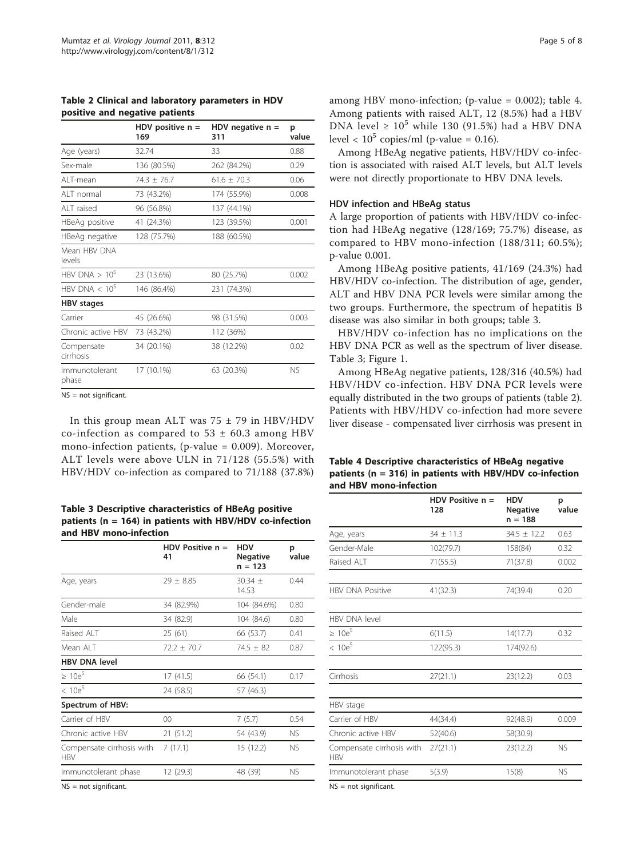<span id="page-4-0"></span>Table 2 Clinical and laboratory parameters in HDV positive and negative patients

|                         | HDV positive $n =$<br>169 | HDV negative $n =$<br>311 | p<br>value |
|-------------------------|---------------------------|---------------------------|------------|
| Age (years)             | 32.74                     | 33                        | 0.88       |
| Sex-male                | 136 (80.5%)               | 262 (84.2%)               | 0.29       |
| Al T-mean               | $74.3 + 76.7$             | $61.6 + 70.3$             | 0.06       |
| AI T normal             | 73 (43.2%)                | 174 (55.9%)               | 0.008      |
| AI T raised             | 96 (56.8%)                | 137 (44.1%)               |            |
| HBeAg positive          | 41 (24.3%)                | 123 (39.5%)               | 0.001      |
| HBeAg negative          | 128 (75.7%)               | 188 (60.5%)               |            |
| Mean HBV DNA<br>levels  |                           |                           |            |
| HBV DNA $> 10^5$        | 23 (13.6%)                | 80 (25.7%)                | 0.002      |
| HBV DNA $< 10^5$        | 146 (86.4%)               | 231 (74.3%)               |            |
| HBV stages              |                           |                           |            |
| Carrier                 | 45 (26.6%)                | 98 (31.5%)                | 0.003      |
| Chronic active HBV      | 73 (43.2%)                | 112 (36%)                 |            |
| Compensate<br>cirrhosis | 34 (20.1%)                | 38 (12.2%)                | 0.02       |
| Immunotolerant<br>phase | 17 (10.1%)                | 63 (20.3%)                | <b>NS</b>  |

NS = not significant.

In this group mean ALT was  $75 \pm 79$  in HBV/HDV co-infection as compared to  $53 \pm 60.3$  among HBV mono-infection patients, (p-value = 0.009). Moreover, ALT levels were above ULN in 71/128 (55.5%) with HBV/HDV co-infection as compared to 71/188 (37.8%)

Table 3 Descriptive characteristics of HBeAg positive patients (n = 164) in patients with HBV/HDV co-infection and HBV mono-infection

|                                         | HDV Positive $n =$<br>41 | <b>HDV</b><br><b>Negative</b><br>$n = 123$ | p<br>value |
|-----------------------------------------|--------------------------|--------------------------------------------|------------|
| Age, years                              | $29 \pm 8.85$            | $30.34 \pm$<br>14.53                       | 0.44       |
| Gender-male                             | 34 (82.9%)               | 104 (84.6%)                                | 0.80       |
| Male                                    | 34 (82.9)                | 104 (84.6)                                 | 0.80       |
| Raised ALT                              | 25(61)                   | 66 (53.7)                                  | 0.41       |
| Mean ALT                                | $72.2 \pm 70.7$          | $74.5 \pm 82$                              | 0.87       |
| <b>HBV DNA level</b>                    |                          |                                            |            |
| $\geq 10e^5$                            | 17(41.5)                 | 66 (54.1)                                  | 0.17       |
| $< 10e^{5}$                             | 24 (58.5)                | 57 (46.3)                                  |            |
| Spectrum of HBV:                        |                          |                                            |            |
| Carrier of HBV                          | 00                       | 7(5.7)                                     | 0.54       |
| Chronic active HBV                      | 21(51.2)                 | 54 (43.9)                                  | NS.        |
| Compensate cirrhosis with<br><b>HBV</b> | 7(17.1)                  | 15 (12.2)                                  | <b>NS</b>  |
| Immunotolerant phase                    | 12 (29.3)                | 48 (39)                                    | <b>NS</b>  |
| $NS - not$ cinnificant                  |                          |                                            |            |

NS = not significant.

among HBV mono-infection; (p-value = 0.002); table 4. Among patients with raised ALT, 12 (8.5%) had a HBV DNA level  $\geq 10^5$  while 130 (91.5%) had a HBV DNA level  $< 10^5$  copies/ml (p-value = 0.16).

Among HBeAg negative patients, HBV/HDV co-infection is associated with raised ALT levels, but ALT levels were not directly proportionate to HBV DNA levels.

# HDV infection and HBeAg status

A large proportion of patients with HBV/HDV co-infection had HBeAg negative (128/169; 75.7%) disease, as compared to HBV mono-infection (188/311; 60.5%); p-value 0.001.

Among HBeAg positive patients, 41/169 (24.3%) had HBV/HDV co-infection. The distribution of age, gender, ALT and HBV DNA PCR levels were similar among the two groups. Furthermore, the spectrum of hepatitis B disease was also similar in both groups; table 3.

HBV/HDV co-infection has no implications on the HBV DNA PCR as well as the spectrum of liver disease. Table 3; Figure [1.](#page-5-0)

Among HBeAg negative patients, 128/316 (40.5%) had HBV/HDV co-infection. HBV DNA PCR levels were equally distributed in the two groups of patients (table 2). Patients with HBV/HDV co-infection had more severe liver disease - compensated liver cirrhosis was present in

| Table 4 Descriptive characteristics of HBeAg negative    |
|----------------------------------------------------------|
| patients (n = 316) in patients with HBV/HDV co-infection |
| and HBV mono-infection                                   |

|                                         | HDV Positive $n =$<br>128 | <b>HDV</b><br>Negative<br>$n = 188$ | p<br>value |
|-----------------------------------------|---------------------------|-------------------------------------|------------|
| Age, years                              | $34 \pm 11.3$             | $34.5 \pm 12.2$                     | 0.63       |
| Gender-Male                             | 102(79.7)                 | 158(84)                             | 0.32       |
| Raised ALT                              | 71(55.5)                  | 71(37.8)                            | 0.002      |
| <b>HBV DNA Positive</b>                 | 41(32.3)                  | 74(39.4)                            | 0.20       |
| HBV DNA level                           |                           |                                     |            |
| $\geq 10e^5$                            | 6(11.5)                   | 14(17.7)                            | 0.32       |
| $< 10e^{5}$                             | 122(95.3)                 | 174(92.6)                           |            |
| Cirrhosis                               | 27(21.1)                  | 23(12.2)                            | 0.03       |
| HBV stage                               |                           |                                     |            |
| Carrier of HBV                          | 44(34.4)                  | 92(48.9)                            | 0.009      |
| Chronic active HBV                      | 52(40.6)                  | 58(30.9)                            |            |
| Compensate cirrhosis with<br><b>HBV</b> | 27(21.1)                  | 23(12.2)                            | <b>NS</b>  |
| Immunotolerant phase                    | 5(3.9)                    | 15(8)                               | <b>NS</b>  |

NS = not significant.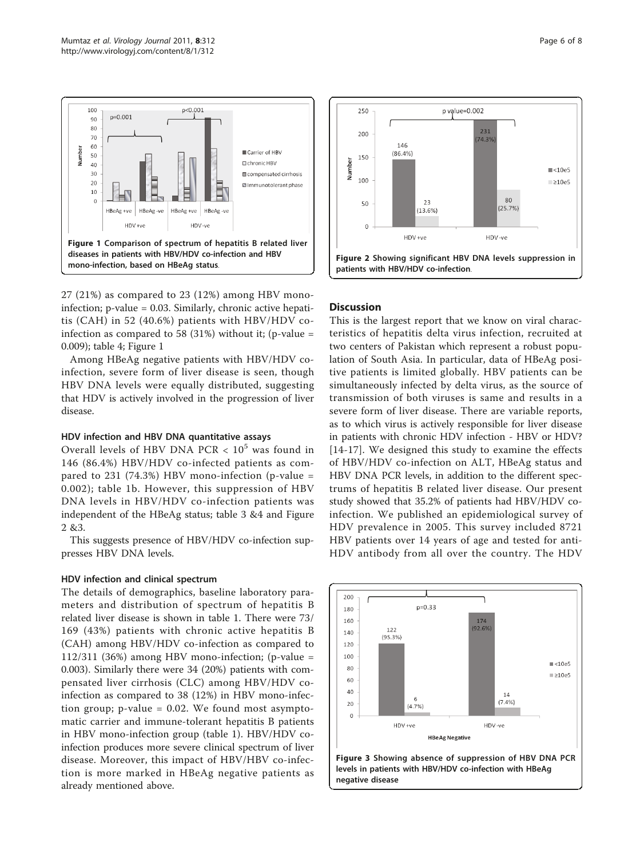<span id="page-5-0"></span>

27 (21%) as compared to 23 (12%) among HBV monoinfection; p-value = 0.03. Similarly, chronic active hepatitis (CAH) in 52 (40.6%) patients with HBV/HDV coinfection as compared to 58 (31%) without it; (p-value  $=$ 0.009); table [4](#page-4-0); Figure 1

Among HBeAg negative patients with HBV/HDV coinfection, severe form of liver disease is seen, though HBV DNA levels were equally distributed, suggesting that HDV is actively involved in the progression of liver disease.

# HDV infection and HBV DNA quantitative assays

Overall levels of HBV DNA PCR  $< 10<sup>5</sup>$  was found in 146 (86.4%) HBV/HDV co-infected patients as compared to 231 (74.3%) HBV mono-infection (p-value = 0.002); table [1b](#page-3-0). However, this suppression of HBV DNA levels in HBV/HDV co-infection patients was independent of the HBeAg status; table [3](#page-4-0) [&4](#page-4-0) and Figure 2 &3.

This suggests presence of HBV/HDV co-infection suppresses HBV DNA levels.

## HDV infection and clinical spectrum

The details of demographics, baseline laboratory parameters and distribution of spectrum of hepatitis B related liver disease is shown in table [1.](#page-3-0) There were 73/ 169 (43%) patients with chronic active hepatitis B (CAH) among HBV/HDV co-infection as compared to 112/311 (36%) among HBV mono-infection; (p-value = 0.003). Similarly there were 34 (20%) patients with compensated liver cirrhosis (CLC) among HBV/HDV coinfection as compared to 38 (12%) in HBV mono-infection group;  $p$ -value = 0.02. We found most asymptomatic carrier and immune-tolerant hepatitis B patients in HBV mono-infection group (table [1](#page-3-0)). HBV/HDV coinfection produces more severe clinical spectrum of liver disease. Moreover, this impact of HBV/HBV co-infection is more marked in HBeAg negative patients as already mentioned above.



# **Discussion**

This is the largest report that we know on viral characteristics of hepatitis delta virus infection, recruited at two centers of Pakistan which represent a robust population of South Asia. In particular, data of HBeAg positive patients is limited globally. HBV patients can be simultaneously infected by delta virus, as the source of transmission of both viruses is same and results in a severe form of liver disease. There are variable reports, as to which virus is actively responsible for liver disease in patients with chronic HDV infection - HBV or HDV? [[14](#page-7-0)-[17\]](#page-7-0). We designed this study to examine the effects of HBV/HDV co-infection on ALT, HBeAg status and HBV DNA PCR levels, in addition to the different spectrums of hepatitis B related liver disease. Our present study showed that 35.2% of patients had HBV/HDV coinfection. We published an epidemiological survey of HDV prevalence in 2005. This survey included 8721 HBV patients over 14 years of age and tested for anti-HDV antibody from all over the country. The HDV

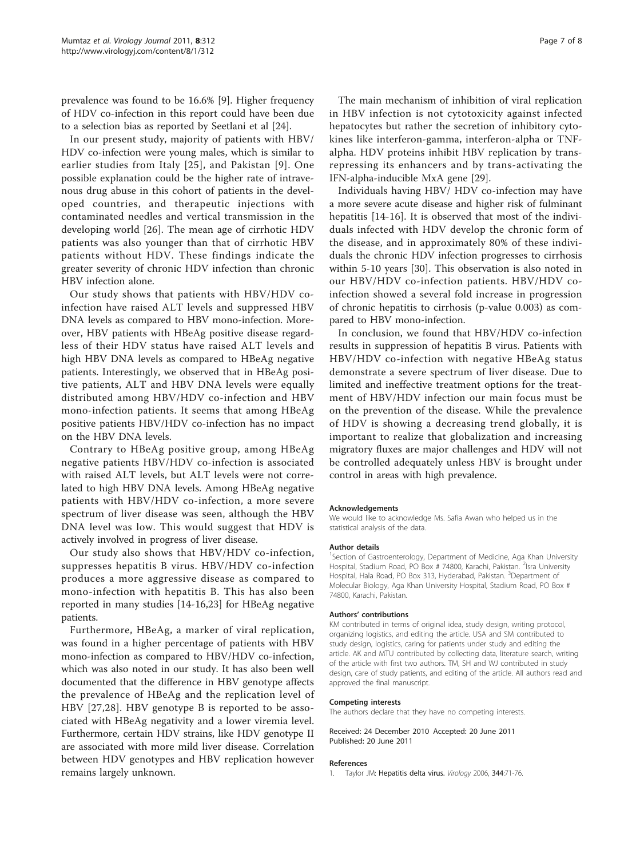<span id="page-6-0"></span>prevalence was found to be 16.6% [[9\]](#page-7-0). Higher frequency of HDV co-infection in this report could have been due to a selection bias as reported by Seetlani et al [[24\]](#page-7-0).

In our present study, majority of patients with HBV/ HDV co-infection were young males, which is similar to earlier studies from Italy [[25](#page-7-0)], and Pakistan [[9\]](#page-7-0). One possible explanation could be the higher rate of intravenous drug abuse in this cohort of patients in the developed countries, and therapeutic injections with contaminated needles and vertical transmission in the developing world [[26\]](#page-7-0). The mean age of cirrhotic HDV patients was also younger than that of cirrhotic HBV patients without HDV. These findings indicate the greater severity of chronic HDV infection than chronic HBV infection alone.

Our study shows that patients with HBV/HDV coinfection have raised ALT levels and suppressed HBV DNA levels as compared to HBV mono-infection. Moreover, HBV patients with HBeAg positive disease regardless of their HDV status have raised ALT levels and high HBV DNA levels as compared to HBeAg negative patients. Interestingly, we observed that in HBeAg positive patients, ALT and HBV DNA levels were equally distributed among HBV/HDV co-infection and HBV mono-infection patients. It seems that among HBeAg positive patients HBV/HDV co-infection has no impact on the HBV DNA levels.

Contrary to HBeAg positive group, among HBeAg negative patients HBV/HDV co-infection is associated with raised ALT levels, but ALT levels were not correlated to high HBV DNA levels. Among HBeAg negative patients with HBV/HDV co-infection, a more severe spectrum of liver disease was seen, although the HBV DNA level was low. This would suggest that HDV is actively involved in progress of liver disease.

Our study also shows that HBV/HDV co-infection, suppresses hepatitis B virus. HBV/HDV co-infection produces a more aggressive disease as compared to mono-infection with hepatitis B. This has also been reported in many studies [\[14-16](#page-7-0),[23](#page-7-0)] for HBeAg negative patients.

Furthermore, HBeAg, a marker of viral replication, was found in a higher percentage of patients with HBV mono-infection as compared to HBV/HDV co-infection, which was also noted in our study. It has also been well documented that the difference in HBV genotype affects the prevalence of HBeAg and the replication level of HBV [\[27,28](#page-7-0)]. HBV genotype B is reported to be associated with HBeAg negativity and a lower viremia level. Furthermore, certain HDV strains, like HDV genotype II are associated with more mild liver disease. Correlation between HDV genotypes and HBV replication however remains largely unknown.

The main mechanism of inhibition of viral replication in HBV infection is not cytotoxicity against infected hepatocytes but rather the secretion of inhibitory cytokines like interferon-gamma, interferon-alpha or TNFalpha. HDV proteins inhibit HBV replication by transrepressing its enhancers and by trans-activating the IFN-alpha-inducible MxA gene [\[29\]](#page-7-0).

Individuals having HBV/ HDV co-infection may have a more severe acute disease and higher risk of fulminant hepatitis [[14-16](#page-7-0)]. It is observed that most of the individuals infected with HDV develop the chronic form of the disease, and in approximately 80% of these individuals the chronic HDV infection progresses to cirrhosis within 5-10 years [\[30](#page-7-0)]. This observation is also noted in our HBV/HDV co-infection patients. HBV/HDV coinfection showed a several fold increase in progression of chronic hepatitis to cirrhosis (p-value 0.003) as compared to HBV mono-infection.

In conclusion, we found that HBV/HDV co-infection results in suppression of hepatitis B virus. Patients with HBV/HDV co-infection with negative HBeAg status demonstrate a severe spectrum of liver disease. Due to limited and ineffective treatment options for the treatment of HBV/HDV infection our main focus must be on the prevention of the disease. While the prevalence of HDV is showing a decreasing trend globally, it is important to realize that globalization and increasing migratory fluxes are major challenges and HDV will not be controlled adequately unless HBV is brought under control in areas with high prevalence.

#### Acknowledgements

We would like to acknowledge Ms. Safia Awan who helped us in the statistical analysis of the data.

#### Author details

<sup>1</sup>Section of Gastroenterology, Department of Medicine, Aga Khan University Hospital, Stadium Road, PO Box # 74800, Karachi, Pakistan. <sup>2</sup>Isra University Hospital, Hala Road, PO Box 313, Hyderabad, Pakistan. <sup>3</sup>Department of Molecular Biology, Aga Khan University Hospital, Stadium Road, PO Box # 74800, Karachi, Pakistan.

#### Authors' contributions

KM contributed in terms of original idea, study design, writing protocol, organizing logistics, and editing the article. USA and SM contributed to study design, logistics, caring for patients under study and editing the article. AK and MTU contributed by collecting data, literature search, writing of the article with first two authors. TM, SH and WJ contributed in study design, care of study patients, and editing of the article. All authors read and approved the final manuscript.

#### Competing interests

The authors declare that they have no competing interests.

Received: 24 December 2010 Accepted: 20 June 2011 Published: 20 June 2011

#### References

1. Taylor JM: [Hepatitis delta virus.](http://www.ncbi.nlm.nih.gov/pubmed/16364738?dopt=Abstract) Virology 2006, 344:71-76.